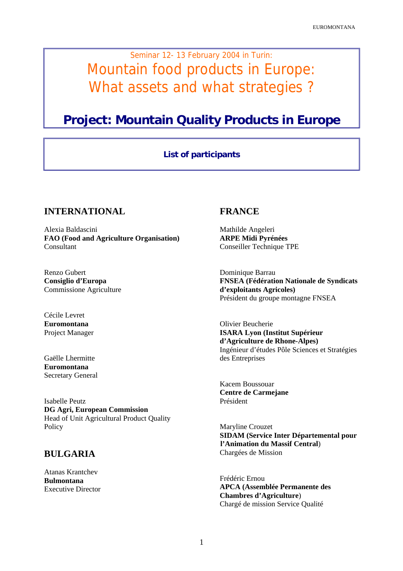# Seminar 12- 13 February 2004 in Turin: Mountain food products in Europe: What assets and what strategies ?

## **Project: Mountain Quality Products in Europe**

#### **List of participants**

## **INTERNATIONAL**

Alexia Baldascini **FAO (Food and Agriculture Organisation)**  Consultant

Renzo Gubert **Consiglio d'Europa**  Commissione Agriculture

Cécile Levret **Euromontana**  Project Manager

Gaëlle Lhermitte **Euromontana**  Secretary General

Isabelle Peutz **DG Agri, European Commission**  Head of Unit Agricultural Product Quality Policy

## **BULGARIA**

Atanas Krantchev **Bulmontana**  Executive Director

## **FRANCE**

Mathilde Angeleri **ARPE Midi Pyrénées**  Conseiller Technique TPE

Dominique Barrau **FNSEA (Fédération Nationale de Syndicats d'exploitants Agricoles)**  Président du groupe montagne FNSEA

Olivier Beucherie **ISARA Lyon (Institut Supérieur d'Agriculture de Rhone-Alpes)**  Ingénieur d'études Pôle Sciences et Stratégies des Entreprises

Kacem Boussouar **Centre de Carmejane**  Président

Maryline Crouzet **SIDAM (Service Inter Départemental pour l'Animation du Massif Central**) Chargées de Mission

Frédéric Ernou **APCA (Assemblée Permanente des Chambres d'Agriculture**) Chargé de mission Service Qualité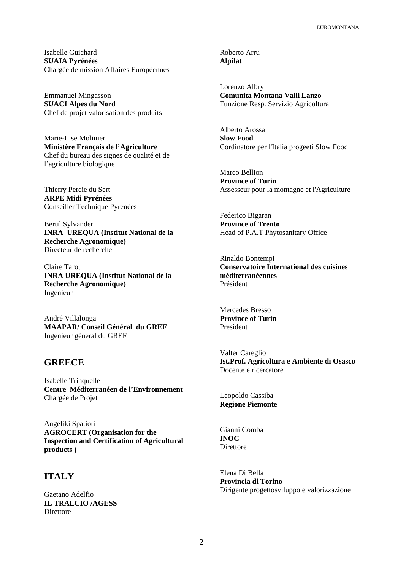Isabelle Guichard **SUAIA Pyrénées**  Chargée de mission Affaires Européennes

Emmanuel Mingasson **SUACI Alpes du Nord**  Chef de projet valorisation des produits

Marie-Lise Molinier **Ministère Français de l'Agriculture**  Chef du bureau des signes de qualité et de l'agriculture biologique

Thierry Percie du Sert **ARPE Midi Pyrénées**  Conseiller Technique Pyrénées

Bertil Sylvander **INRA UREQUA (Institut National de la Recherche Agronomique)**  Directeur de recherche

Claire Tarot **INRA UREQUA (Institut National de la Recherche Agronomique)**  Ingénieur

André Villalonga **MAAPAR/ Conseil Général du GREF**  Ingénieur général du GREF

#### **GREECE**

Isabelle Trinquelle **Centre Méditerranéen de l'Environnement**  Chargée de Projet

Angeliki Spatioti **AGROCERT (Organisation for the Inspection and Certification of Agricultural products )** 

#### **ITALY**

Gaetano Adelfio **IL TRALCIO /AGESS Direttore** 

Roberto Arru **Alpilat** 

Lorenzo Albry **Comunita Montana Valli Lanzo**  Funzione Resp. Servizio Agricoltura

Alberto Arossa **Slow Food**  Cordinatore per l'Italia progeeti Slow Food

Marco Bellion **Province of Turin**  Assesseur pour la montagne et l'Agriculture

Federico Bigaran **Province of Trento**  Head of P.A.T Phytosanitary Office

Rinaldo Bontempi **Conservatoire International des cuisines méditerranéennes**  Président

Mercedes Bresso **Province of Turin**  President

Valter Careglio **Ist.Prof. Agricoltura e Ambiente di Osasco**  Docente e ricercatore

Leopoldo Cassiba **Regione Piemonte** 

Gianni Comba **INOC**  Direttore

Elena Di Bella **Provincia di Torino**  Dirigente progettosviluppo e valorizzazione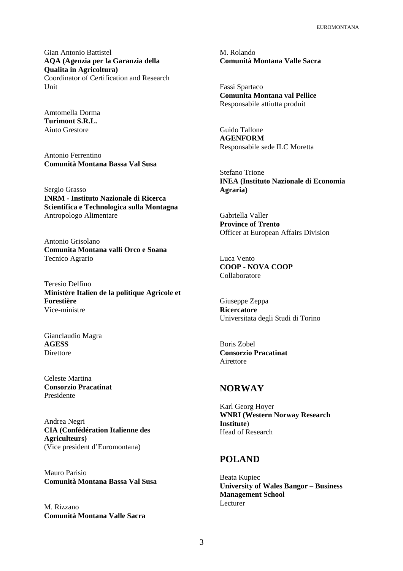Gian Antonio Battistel **AQA (Agenzia per la Garanzia della Qualita in Agricoltura)**  Coordinator of Certification and Research Unit

Amtomella Dorma **Turimont S.R.L.**  Aiuto Grestore

Antonio Ferrentino **Comunità Montana Bassa Val Susa** 

Sergio Grasso **INRM - Instituto Nazionale di Ricerca Scientifica e Technologica sulla Montagna**  Antropologo Alimentare

Antonio Grisolano **Comunita Montana valli Orco e Soana**  Tecnico Agrario

Teresio Delfino **Ministère Italien de la politique Agricole et Forestière**  Vice-ministre

Gianclaudio Magra **AGESS**  Direttore

Celeste Martina **Consorzio Pracatinat**  Presidente

Andrea Negri **CIA (Confédération Italienne des Agriculteurs)**  (Vice president d'Euromontana)

Mauro Parisio **Comunità Montana Bassa Val Susa** 

M. Rizzano **Comunità Montana Valle Sacra**  M. Rolando **Comunità Montana Valle Sacra** 

Fassi Spartaco **Comunita Montana val Pellice**  Responsabile attiutta produit

Guido Tallone **AGENFORM**  Responsabile sede ILC Moretta

Stefano Trione **INEA (Instituto Nazionale di Economia Agraria)** 

Gabriella Valler **Province of Trento**  Officer at European Affairs Division

Luca Vento **COOP - NOVA COOP**  Collaboratore

Giuseppe Zeppa **Ricercatore**  Universitata degli Studi di Torino

Boris Zobel **Consorzio Pracatinat**  Airettore

#### **NORWAY**

Karl Georg Hoyer **WNRI (Western Norway Research Institute**) Head of Research

#### **POLAND**

Beata Kupiec **University of Wales Bangor – Business Management School**  Lecturer